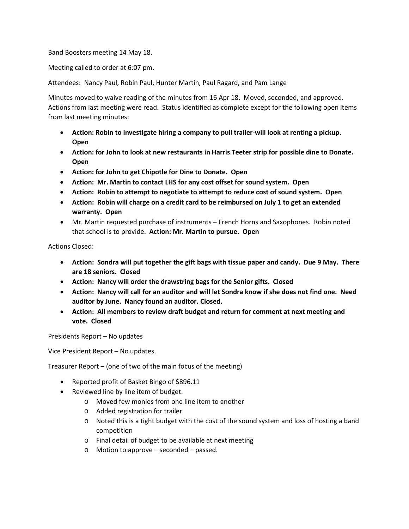Band Boosters meeting 14 May 18.

Meeting called to order at 6:07 pm.

Attendees: Nancy Paul, Robin Paul, Hunter Martin, Paul Ragard, and Pam Lange

Minutes moved to waive reading of the minutes from 16 Apr 18. Moved, seconded, and approved. Actions from last meeting were read. Status identified as complete except for the following open items from last meeting minutes:

- **Action: Robin to investigate hiring a company to pull trailer-will look at renting a pickup. Open**
- **Action: for John to look at new restaurants in Harris Teeter strip for possible dine to Donate. Open**
- **Action: for John to get Chipotle for Dine to Donate. Open**
- **Action: Mr. Martin to contact LHS for any cost offset for sound system. Open**
- **Action: Robin to attempt to negotiate to attempt to reduce cost of sound system. Open**
- **Action: Robin will charge on a credit card to be reimbursed on July 1 to get an extended warranty. Open**
- Mr. Martin requested purchase of instruments French Horns and Saxophones. Robin noted that school is to provide. **Action: Mr. Martin to pursue. Open**

Actions Closed:

- **Action: Sondra will put together the gift bags with tissue paper and candy. Due 9 May. There are 18 seniors. Closed**
- **Action: Nancy will order the drawstring bags for the Senior gifts. Closed**
- **Action: Nancy will call for an auditor and will let Sondra know if she does not find one. Need auditor by June. Nancy found an auditor. Closed.**
- **Action: All members to review draft budget and return for comment at next meeting and vote. Closed**

Presidents Report – No updates

Vice President Report – No updates.

Treasurer Report – (one of two of the main focus of the meeting)

- Reported profit of Basket Bingo of \$896.11
- Reviewed line by line item of budget.
	- o Moved few monies from one line item to another
	- o Added registration for trailer
	- o Noted this is a tight budget with the cost of the sound system and loss of hosting a band competition
	- o Final detail of budget to be available at next meeting
	- o Motion to approve seconded passed.